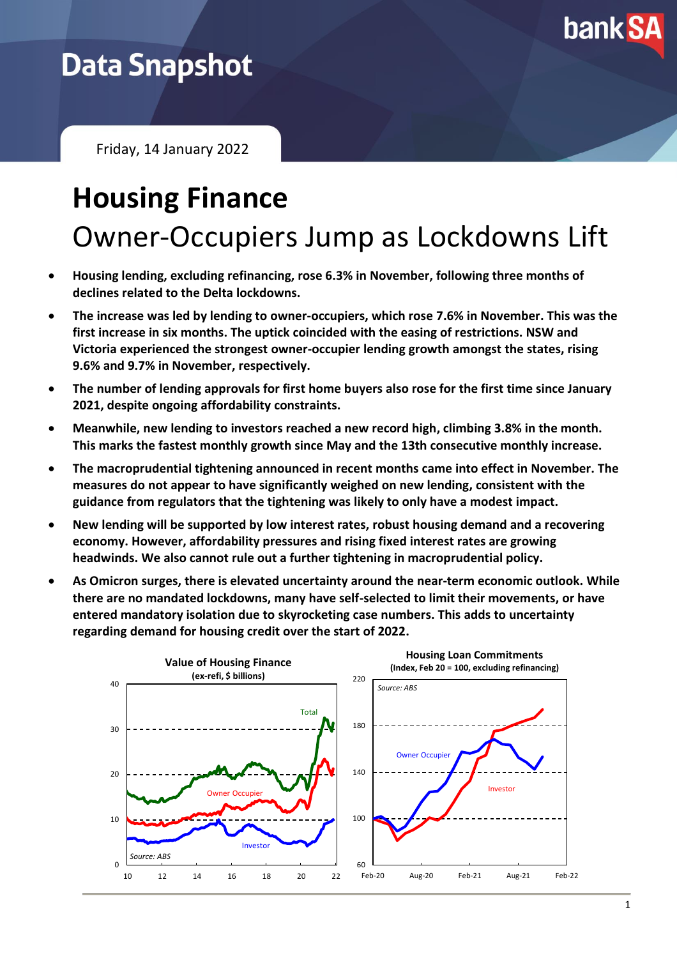

## **Data Snapshot**

Friday, 14 January 2022

# **Housing Finance** Owner-Occupiers Jump as Lockdowns Lift

- **Housing lending, excluding refinancing, rose 6.3% in November, following three months of declines related to the Delta lockdowns.**
- **The increase was led by lending to owner-occupiers, which rose 7.6% in November. This was the first increase in six months. The uptick coincided with the easing of restrictions. NSW and Victoria experienced the strongest owner-occupier lending growth amongst the states, rising 9.6% and 9.7% in November, respectively.**
- **The number of lending approvals for first home buyers also rose for the first time since January 2021, despite ongoing affordability constraints.**
- **Meanwhile, new lending to investors reached a new record high, climbing 3.8% in the month. This marks the fastest monthly growth since May and the 13th consecutive monthly increase.**
- **The macroprudential tightening announced in recent months came into effect in November. The measures do not appear to have significantly weighed on new lending, consistent with the guidance from regulators that the tightening was likely to only have a modest impact.**
- **New lending will be supported by low interest rates, robust housing demand and a recovering economy. However, affordability pressures and rising fixed interest rates are growing headwinds. We also cannot rule out a further tightening in macroprudential policy.**
- **As Omicron surges, there is elevated uncertainty around the near-term economic outlook. While there are no mandated lockdowns, many have self-selected to limit their movements, or have entered mandatory isolation due to skyrocketing case numbers. This adds to uncertainty regarding demand for housing credit over the start of 2022.**

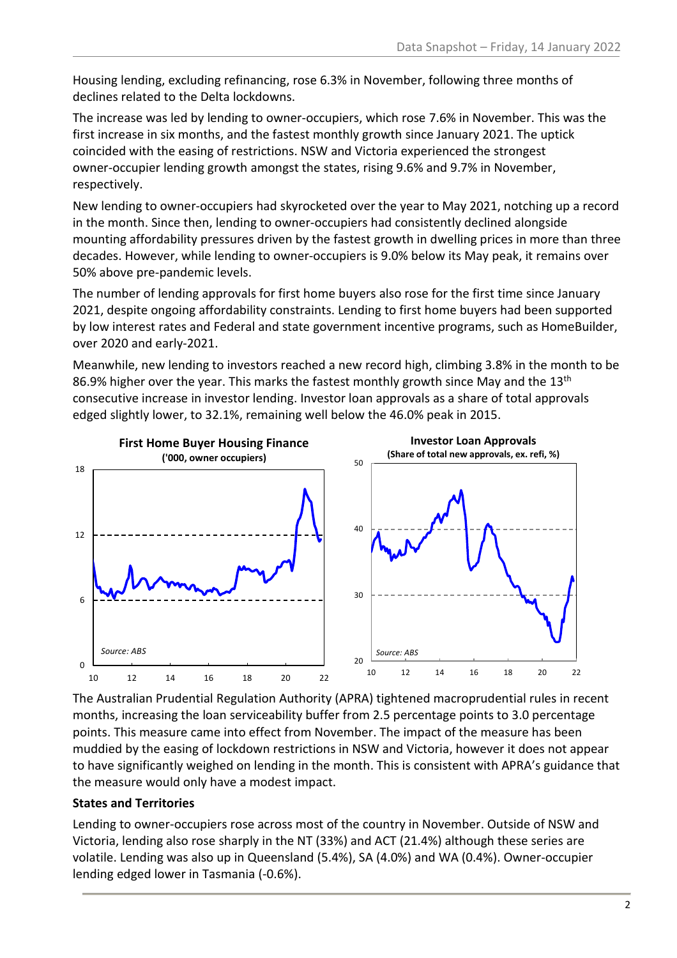Housing lending, excluding refinancing, rose 6.3% in November, following three months of declines related to the Delta lockdowns.

The increase was led by lending to owner-occupiers, which rose 7.6% in November. This was the first increase in six months, and the fastest monthly growth since January 2021. The uptick coincided with the easing of restrictions. NSW and Victoria experienced the strongest owner-occupier lending growth amongst the states, rising 9.6% and 9.7% in November, respectively.

New lending to owner-occupiers had skyrocketed over the year to May 2021, notching up a record in the month. Since then, lending to owner-occupiers had consistently declined alongside mounting affordability pressures driven by the fastest growth in dwelling prices in more than three decades. However, while lending to owner-occupiers is 9.0% below its May peak, it remains over 50% above pre-pandemic levels.

The number of lending approvals for first home buyers also rose for the first time since January 2021, despite ongoing affordability constraints. Lending to first home buyers had been supported by low interest rates and Federal and state government incentive programs, such as HomeBuilder, over 2020 and early-2021.

Meanwhile, new lending to investors reached a new record high, climbing 3.8% in the month to be 86.9% higher over the year. This marks the fastest monthly growth since May and the 13<sup>th</sup> consecutive increase in investor lending. Investor loan approvals as a share of total approvals edged slightly lower, to 32.1%, remaining well below the 46.0% peak in 2015.



The Australian Prudential Regulation Authority (APRA) tightened macroprudential rules in recent months, increasing the loan serviceability buffer from 2.5 percentage points to 3.0 percentage points. This measure came into effect from November. The impact of the measure has been muddied by the easing of lockdown restrictions in NSW and Victoria, however it does not appear to have significantly weighed on lending in the month. This is consistent with APRA's guidance that the measure would only have a modest impact.

#### **States and Territories**

Lending to owner-occupiers rose across most of the country in November. Outside of NSW and Victoria, lending also rose sharply in the NT (33%) and ACT (21.4%) although these series are volatile. Lending was also up in Queensland (5.4%), SA (4.0%) and WA (0.4%). Owner-occupier lending edged lower in Tasmania (-0.6%).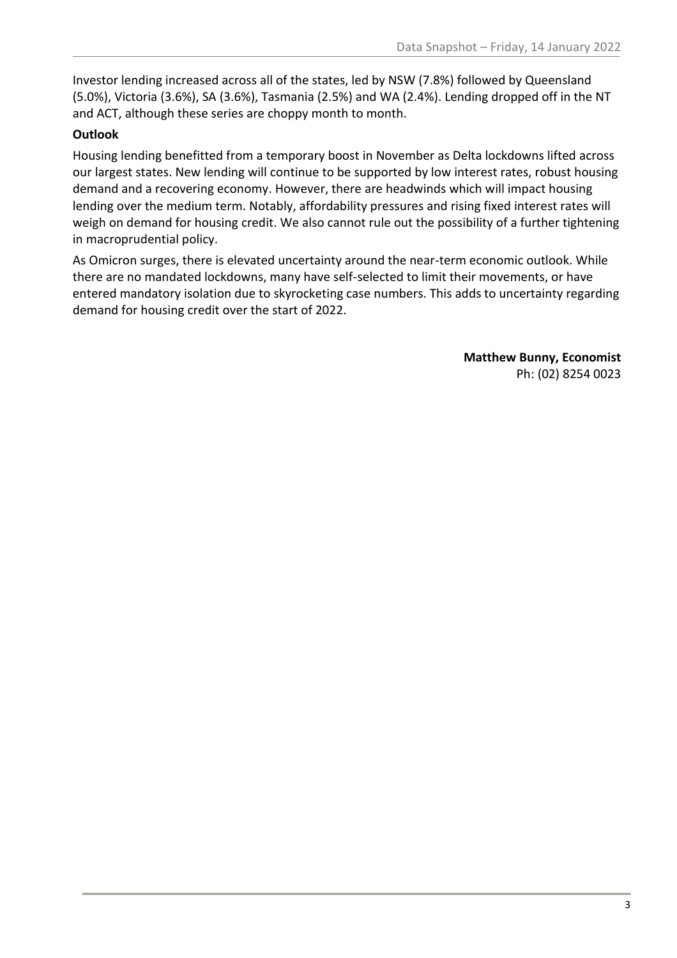Investor lending increased across all of the states, led by NSW (7.8%) followed by Queensland (5.0%), Victoria (3.6%), SA (3.6%), Tasmania (2.5%) and WA (2.4%). Lending dropped off in the NT and ACT, although these series are choppy month to month.

#### **Outlook**

Housing lending benefitted from a temporary boost in November as Delta lockdowns lifted across our largest states. New lending will continue to be supported by low interest rates, robust housing demand and a recovering economy. However, there are headwinds which will impact housing lending over the medium term. Notably, affordability pressures and rising fixed interest rates will weigh on demand for housing credit. We also cannot rule out the possibility of a further tightening in macroprudential policy.

As Omicron surges, there is elevated uncertainty around the near-term economic outlook. While there are no mandated lockdowns, many have self-selected to limit their movements, or have entered mandatory isolation due to skyrocketing case numbers. This adds to uncertainty regarding demand for housing credit over the start of 2022.

> **Matthew Bunny, Economist** Ph: (02) 8254 0023